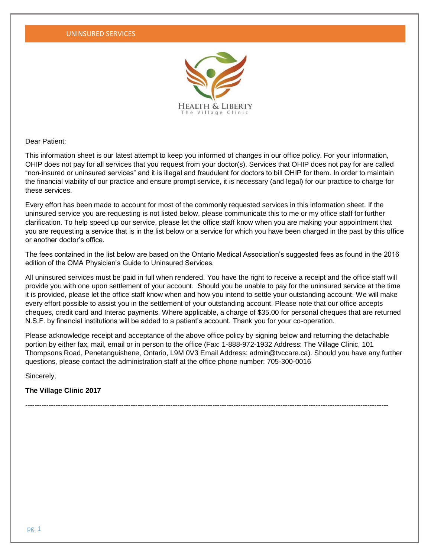

Dear Patient:

This information sheet is our latest attempt to keep you informed of changes in our office policy. For your information, OHIP does not pay for all services that you request from your doctor(s). Services that OHIP does not pay for are called "non-insured or uninsured services" and it is illegal and fraudulent for doctors to bill OHIP for them. In order to maintain the financial viability of our practice and ensure prompt service, it is necessary (and legal) for our practice to charge for these services.

Every effort has been made to account for most of the commonly requested services in this information sheet. If the uninsured service you are requesting is not listed below, please communicate this to me or my office staff for further clarification. To help speed up our service, please let the office staff know when you are making your appointment that you are requesting a service that is in the list below or a service for which you have been charged in the past by this office or another doctor's office.

The fees contained in the list below are based on the Ontario Medical Association's suggested fees as found in the 2016 edition of the OMA Physician's Guide to Uninsured Services.

All uninsured services must be paid in full when rendered. You have the right to receive a receipt and the office staff will provide you with one upon settlement of your account. Should you be unable to pay for the uninsured service at the time it is provided, please let the office staff know when and how you intend to settle your outstanding account. We will make every effort possible to assist you in the settlement of your outstanding account. Please note that our office accepts cheques, credit card and Interac payments. Where applicable, a charge of \$35.00 for personal cheques that are returned N.S.F. by financial institutions will be added to a patient's account. Thank you for your co-operation.

Please acknowledge receipt and acceptance of the above office policy by signing below and returning the detachable portion by either fax, mail, email or in person to the office (Fax: 1-888-972-1932 Address: The Village Clinic, 101 Thompsons Road, Penetanguishene, Ontario, L9M 0V3 Email Address: admin@tvccare.ca). Should you have any further questions, please contact the administration staff at the office phone number: 705-300-0016

Sincerely,

**The Village Clinic 2017** 

-----------------------------------------------------------------------------------------------------------------------------------------------------------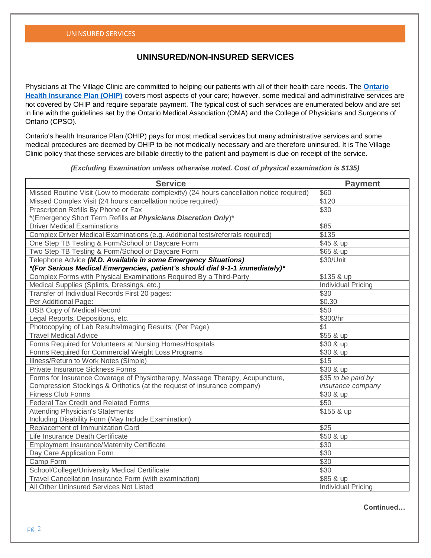## **UNINSURED/NON-INSURED SERVICES**

Physicians at The Village Clinic are committed to helping our patients with all of their health care needs. The **[Ontario](http://www.health.gov.on.ca/en/public/programs/ohip/)  [Health Insurance Plan \(OHIP\)](http://www.health.gov.on.ca/en/public/programs/ohip/)** covers most aspects of your care; however, some medical and administrative services are not covered by OHIP and require separate payment. The typical cost of such services are enumerated below and are set in line with the guidelines set by the Ontario Medical Association (OMA) and the College of Physicians and Surgeons of Ontario (CPSO).

Ontario's health Insurance Plan (OHIP) pays for most medical services but many administrative services and some medical procedures are deemed by OHIP to be not medically necessary and are therefore uninsured. It is The Village Clinic policy that these services are billable directly to the patient and payment is due on receipt of the service.

*(Excluding Examination unless otherwise noted. Cost of physical examination is \$135)*

| <b>Service</b>                                                                            | <b>Payment</b>            |
|-------------------------------------------------------------------------------------------|---------------------------|
| Missed Routine Visit (Low to moderate complexity) (24 hours cancellation notice required) | \$60                      |
| Missed Complex Visit (24 hours cancellation notice required)                              | \$120                     |
| Prescription Refills By Phone or Fax                                                      | \$30                      |
| *(Emergency Short Term Refills at Physicians Discretion Only)*                            |                           |
| <b>Driver Medical Examinations</b>                                                        | \$85                      |
| Complex Driver Medical Examinations (e.g. Additional tests/referrals required)            | \$135                     |
| One Step TB Testing & Form/School or Daycare Form                                         | \$45 & up                 |
| Two Step TB Testing & Form/School or Daycare Form                                         | \$65 & up                 |
| Telephone Advice (M.D. Available in some Emergency Situations)                            | \$30/Unit                 |
| *(For Serious Medical Emergencies, patient's should dial 9-1-1 immediately)*              |                           |
| Complex Forms with Physical Examinations Required By a Third-Party                        | \$135 & up                |
| Medical Supplies (Splints, Dressings, etc.)                                               | <b>Individual Pricing</b> |
| Transfer of Individual Records First 20 pages:                                            | \$30                      |
| Per Additional Page:                                                                      | \$0.30                    |
| <b>USB Copy of Medical Record</b>                                                         | \$50                      |
| Legal Reports, Depositions, etc.                                                          | \$300/hr                  |
| Photocopying of Lab Results/Imaging Results: (Per Page)                                   | \$1                       |
| <b>Travel Medical Advice</b>                                                              | \$55 & up                 |
| Forms Required for Volunteers at Nursing Homes/Hospitals                                  | \$30 & up                 |
| Forms Required for Commercial Weight Loss Programs                                        | \$30 & up                 |
| Illness/Return to Work Notes (Simple)                                                     | \$15                      |
| <b>Private Insurance Sickness Forms</b>                                                   | \$30 & up                 |
| Forms for Insurance Coverage of Physiotherapy, Massage Therapy, Acupuncture,              | \$35 to be paid by        |
| Compression Stockings & Orthotics (at the request of insurance company)                   | insurance company         |
| <b>Fitness Club Forms</b>                                                                 | \$30 & up                 |
| <b>Federal Tax Credit and Related Forms</b>                                               | \$50                      |
| <b>Attending Physician's Statements</b>                                                   | \$155 & up                |
| Including Disability Form (May Include Examination)                                       |                           |
| Replacement of Immunization Card                                                          | \$25                      |
| Life Insurance Death Certificate                                                          | \$50 & up                 |
| <b>Employment Insurance/Maternity Certificate</b>                                         | \$30                      |
| Day Care Application Form                                                                 | \$30                      |
| Camp Form                                                                                 | \$30                      |
| School/College/University Medical Certificate                                             | \$30                      |
| Travel Cancellation Insurance Form (with examination)                                     | \$85 & up                 |
| All Other Uninsured Services Not Listed                                                   | <b>Individual Pricing</b> |

**Continued…**